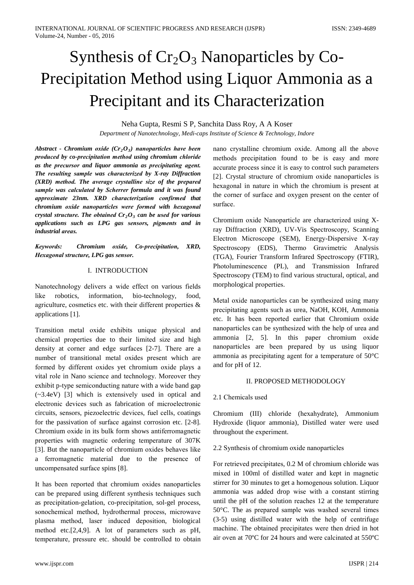# Synthesis of  $Cr_2O_3$  Nanoparticles by Co-Precipitation Method using Liquor Ammonia as a Precipitant and its Characterization

Neha Gupta, Resmi S P, Sanchita Dass Roy, A A Koser

Department of Nanotechnology, Medi-caps Institute of Science & Technology, Indore

Abstract - Chromium oxide  $(Cr<sub>2</sub>O<sub>3</sub>)$  nanoparticles have been produced by co-precipitation method using chromium chloride as the precursor and liquor ammonia as precipitating agent. The resulting sample was characterized by X-ray Diffraction (XRD) method. The average crystalline size of the prepared sample was calculated by Scherrer formula and it was found approximate 23nm. XRD characterization confirmed that chromium oxide nanoparticles were formed with hexagonal crystal structure. The obtained  $Cr_2O_3$  can be used for various applications such as LPG gas sensors, pigments and in *industrial areas.* 

Keywords: Chromium oxide, Co-precipitation, XRD, Hexagonal structure, LPG gas sensor.

# I. INTRODUCTION

Nanotechnology delivers a wide effect on various fields like robotics. information, bio-technology, food. agriculture, cosmetics etc. with their different properties  $\&$ applications [1].

Transition metal oxide exhibits unique physical and chemical properties due to their limited size and high density at corner and edge surfaces [2-7]. There are a number of transitional metal oxides present which are formed by different oxides yet chromium oxide plays a vital role in Nano science and technology. Moreover they exhibit p-type semiconducting nature with a wide band gap  $(-3.4eV)$  [3] which is extensively used in optical and electronic devices such as fabrication of microelectronic circuits, sensors, piezoelectric devices, fuel cells, coatings for the passivation of surface against corrosion etc. [2-8]. Chromium oxide in its bulk form shows antiferromagnetic properties with magnetic ordering temperature of 307K [3]. But the nanoparticle of chromium oxides behaves like a ferromagnetic material due to the presence of uncompensated surface spins [8].

It has been reported that chromium oxides nanoparticles can be prepared using different synthesis techniques such as precipitation-gelation, co-precipitation, sol-gel process, sonochemical method, hydrothermal process, microwave plasma method, laser induced deposition, biological method etc. [2,4,9]. A lot of parameters such as pH, temperature, pressure etc. should be controlled to obtain nano crystalline chromium oxide. Among all the above methods precipitation found to be is easy and more accurate process since it is easy to control such parameters [2]. Crystal structure of chromium oxide nanoparticles is hexagonal in nature in which the chromium is present at the corner of surface and oxygen present on the center of surface.

Chromium oxide Nanoparticle are characterized using Xray Diffraction (XRD), UV-Vis Spectroscopy, Scanning Electron Microscope (SEM), Energy-Dispersive X-ray Spectroscopy (EDS), Thermo Gravimetric Analysis (TGA), Fourier Transform Infrared Spectroscopy (FTIR), Photoluminescence (PL), and Transmission Infrared Spectroscopy (TEM) to find various structural, optical, and morphological properties.

Metal oxide nanoparticles can be synthesized using many precipitating agents such as urea, NaOH, KOH, Ammonia etc. It has been reported earlier that Chromium oxide nanoparticles can be synthesized with the help of urea and ammonia [2, 5]. In this paper chromium oxide nanoparticles are been prepared by us using liquor ammonia as precipitating agent for a temperature of 50°C and for pH of 12.

# **II. PROPOSED METHODOLOGY**

# 2.1 Chemicals used

Chromium (III) chloride (hexahydrate), Ammonium Hydroxide (liquor ammonia), Distilled water were used throughout the experiment.

## 2.2 Synthesis of chromium oxide nanoparticles

For retrieved precipitates, 0.2 M of chromium chloride was mixed in 100ml of distilled water and kept in magnetic stirrer for 30 minutes to get a homogenous solution. Liquor ammonia was added drop wise with a constant stirring until the pH of the solution reaches 12 at the temperature  $50^{\circ}$ C. The as prepared sample was washed several times (3-5) using distilled water with the help of centrifuge machine. The obtained precipitates were then dried in hot air oven at 70<sup>o</sup>C for 24 hours and were calcinated at 550<sup>o</sup>C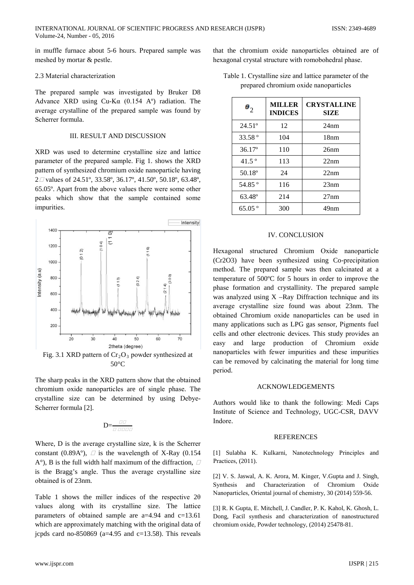in muffle furnace about 5-6 hours. Prepared sample was meshed by mortar & pestle.

#### 2.3 Material characterization

The prepared sample was investigated by Bruker D8 Advance XRD using  $Cu-Ka$  (0.154 A°) radiation. The average crystalline of the prepared sample was found by Scherrer formula

#### **III. RESULT AND DISCUSSION**

XRD was used to determine crystalline size and lattice parameter of the prepared sample. Fig 1. shows the XRD pattern of synthesized chromium oxide nanoparticle having  $2\Box$  values of 24.51°, 33.58°, 36.17°, 41.50°, 50.18°, 63.48°, 65.05°. Apart from the above values there were some other peaks which show that the sample contained some impurities.



Fig. 3.1 XRD pattern of  $Cr_2O_3$  powder synthesized at 50 $\degree$ C

The sharp peaks in the XRD pattern show that the obtained chromium oxide nanoparticles are of single phase. The crystalline size can be determined by using Debye-Scherrer formula [2].

$$
D\!\!=\!\!\tfrac{\text{d} \theta}{\text{d} \text{d} \text{d} \text{d} \text{d}}
$$

Where, D is the average crystalline size, k is the Scherrer constant (0.89A°),  $\Box$  is the wavelength of X-Ray (0.154  $A^{\circ}$ ), B is the full width half maximum of the diffraction,  $\Box$ is the Bragg's angle. Thus the average crystalline size obtained is of 23nm.

Table 1 shows the miller indices of the respective  $2\theta$ values along with its crystalline size. The lattice parameters of obtained sample are  $a=4.94$  and  $c=13.61$ which are approximately matching with the original data of jcpds card no-850869 ( $a=4.95$  and  $c=13.58$ ). This reveals

that the chromium oxide nanoparticles obtained are of hexagonal crystal structure with romobohedral phase.

| Table 1. Crystalline size and lattice parameter of the |  |
|--------------------------------------------------------|--|
| prepared chromium oxide nanoparticles                  |  |

| $\boldsymbol{\theta}_2$ | <b>MILLER</b><br><b>INDICES</b> | <b>CRYSTALLINE</b><br>SIZE |
|-------------------------|---------------------------------|----------------------------|
| $24.51^{\circ}$         | 12                              | 24nm                       |
| 33.58 $^{\circ}$        | 104                             | 18nm                       |
| $36.17^{\circ}$         | 110                             | 26nm                       |
| $41.5^{\circ}$          | 113                             | 22nm                       |
| $50.18^{\circ}$         | 24                              | 22nm                       |
| $54.85^{\circ}$         | 116                             | 23nm                       |
| 63.48°                  | 214                             | 27nm                       |
| $65.05^{\circ}$         | 300                             | 49nm                       |

## **IV. CONCLUSION**

Hexagonal structured Chromium Oxide nanoparticle (Cr2O3) have been synthesized using Co-precipitation method. The prepared sample was then calcinated at a temperature of 500°C for 5 hours in order to improve the phase formation and crystallinity. The prepared sample was analyzed using  $X$  –Ray Diffraction technique and its average crystalline size found was about 23nm. The obtained Chromium oxide nanoparticles can be used in many applications such as LPG gas sensor, Pigments fuel cells and other electronic devices. This study provides an easy and large production of Chromium oxide nanoparticles with fewer impurities and these impurities can be removed by calcinating the material for long time period.

## **ACKNOWLEDGEMENTS**

Authors would like to thank the following: Medi Caps Institute of Science and Technology, UGC-CSR, DAVV Indore.

## **REFERENCES**

[1] Sulabha K. Kulkarni, Nanotechnology Principles and Practices, (2011).

[2] V. S. Jaswal, A. K. Arora, M. Kinger, V. Gupta and J. Singh, and Characterization of Chromium Oxide Synthesis Nanoparticles, Oriental journal of chemistry, 30 (2014) 559-56.

[3] R. K Gupta, E. Mitchell, J. Candler, P. K. Kahol, K. Ghosh, L. Dong, Facil synthesis and characterization of nanostructured chromium oxide, Powder technology, (2014) 25478-81.